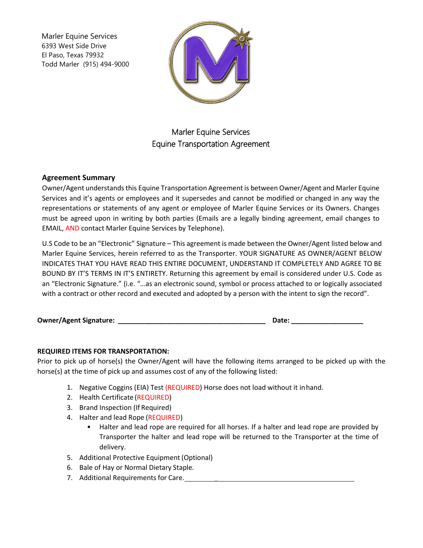Marler Equine Services 6393 West Side Drive El Paso, Texas 79932 Todd Marler (915) 494-9000



# Marler Equine Services Equine Transportation Agreement

# **Agreement Summary**

Owner/Agent understands this Equine Transportation Agreement is between Owner/Agent and Marler Equine Services and it's agents or employees and it supersedes and cannot be modified or changed in any way the representations or statements of any agent or employee of Marler Equine Services or its Owners. Changes must be agreed upon in writing by both parties (Emails are a legally binding agreement, email changes to EMAIL, AND contact Marler Equine Services by Telephone).

U.S Code to be an "Electronic" Signature – This agreement is made between the Owner/Agent listed below and Marler Equine Services, herein referred to as the Transporter. YOUR SIGNATURE AS OWNER/AGENT BELOW INDICATES THAT YOU HAVE READ THIS ENTIRE DOCUMENT, UNDERSTAND IT COMPLETELY AND AGREE TO BE BOUND BY IT'S TERMS IN IT'S ENTIRETY. Returning this agreement by email is considered under U.S. Code as an "Electronic Signature." (i.e. "…as an electronic sound, symbol or process attached to or logically associated with a contract or other record and executed and adopted by a person with the intent to sign the record".

**Owner/Agent Signature: \_\_\_\_\_\_\_\_\_\_\_\_\_\_\_\_\_\_\_\_\_\_\_\_\_\_\_\_\_\_\_\_\_\_\_\_\_\_\_ Date: \_\_\_\_\_\_\_\_\_\_\_\_\_\_\_\_\_\_\_**

# **REQUIRED ITEMS FOR TRANSPORTATION:**

Prior to pick up of horse(s) the Owner/Agent will have the following items arranged to be picked up with the horse(s) at the time of pick up and assumes cost of any of the following listed:

- 1. Negative Coggins (EIA) Test (REQUIRED) Horse does not load without it inhand.
- 2. Health Certificate (REQUIRED)
- 3. Brand Inspection (If Required)
- 4. Halter and lead Rope (REQUIRED)
	- Halter and lead rope are required for all horses. If a halter and lead rope are provided by Transporter the halter and lead rope will be returned to the Transporter at the time of delivery.
- 5. Additional Protective Equipment (Optional)
- 6. Bale of Hay or Normal Dietary Staple.
- 7. Additional Requirements for Care. \_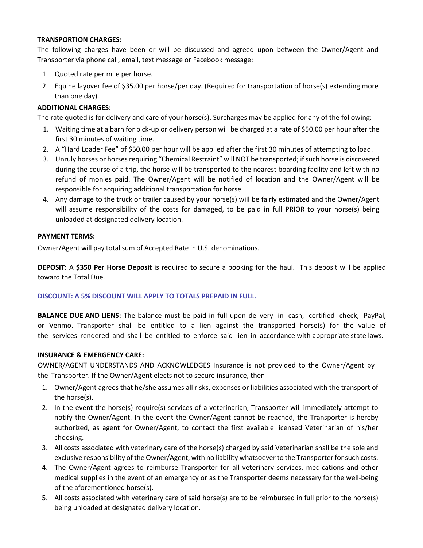#### **TRANSPORTION CHARGES:**

The following charges have been or will be discussed and agreed upon between the Owner/Agent and Transporter via phone call, email, text message or Facebook message:

- 1. Quoted rate per mile per horse.
- 2. Equine layover fee of \$35.00 per horse/per day. (Required for transportation of horse(s) extending more than one day).

### **ADDITIONAL CHARGES:**

The rate quoted is for delivery and care of your horse(s). Surcharges may be applied for any of the following:

- 1. Waiting time at a barn for pick-up or delivery person will be charged at a rate of \$50.00 per hour after the first 30 minutes of waiting time.
- 2. A "Hard Loader Fee" of \$50.00 per hour will be applied after the first 30 minutes of attempting to load.
- 3. Unruly horses or horses requiring "Chemical Restraint" will NOT be transported; if such horse is discovered during the course of a trip, the horse will be transported to the nearest boarding facility and left with no refund of monies paid. The Owner/Agent will be notified of location and the Owner/Agent will be responsible for acquiring additional transportation for horse.
- 4. Any damage to the truck or trailer caused by your horse(s) will be fairly estimated and the Owner/Agent will assume responsibility of the costs for damaged, to be paid in full PRIOR to your horse(s) being unloaded at designated delivery location.

#### **PAYMENT TERMS:**

Owner/Agent will pay total sum of Accepted Rate in U.S. denominations.

**DEPOSIT:** A **\$350 Per Horse Deposit** is required to secure a booking for the haul. This deposit will be applied toward the Total Due.

#### **DISCOUNT: A 5% DISCOUNT WILL APPLY TO TOTALS PREPAID IN FULL.**

**BALANCE DUE AND LIENS:** The balance must be paid in full upon delivery in cash, certified check, PayPal, or Venmo. Transporter shall be entitled to a lien against the transported horse(s) for the value of the services rendered and shall be entitled to enforce said lien in accordance with appropriate state laws.

#### **INSURANCE & EMERGENCY CARE:**

OWNER/AGENT UNDERSTANDS AND ACKNOWLEDGES Insurance is not provided to the Owner/Agent by the Transporter. If the Owner/Agent elects not to secure insurance, then

- 1. Owner/Agent agrees that he/she assumes all risks, expenses or liabilities associated with the transport of the horse(s).
- 2. In the event the horse(s) require(s) services of a veterinarian, Transporter will immediately attempt to notify the Owner/Agent. In the event the Owner/Agent cannot be reached, the Transporter is hereby authorized, as agent for Owner/Agent, to contact the first available licensed Veterinarian of his/her choosing.
- 3. All costs associated with veterinary care of the horse(s) charged by said Veterinarian shall be the sole and exclusive responsibility of the Owner/Agent, with no liability whatsoever to the Transporter for such costs.
- 4. The Owner/Agent agrees to reimburse Transporter for all veterinary services, medications and other medical supplies in the event of an emergency or as the Transporter deems necessary for the well-being of the aforementioned horse(s).
- 5. All costs associated with veterinary care of said horse(s) are to be reimbursed in full prior to the horse(s) being unloaded at designated delivery location.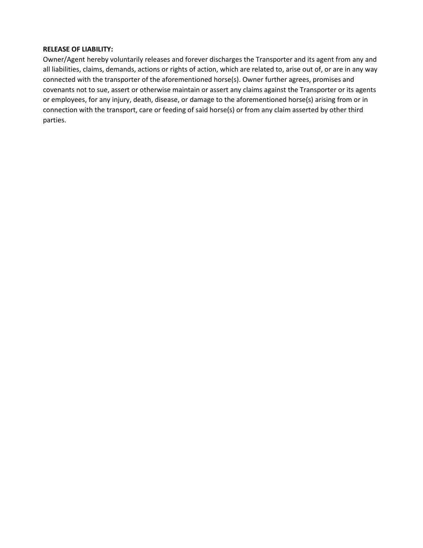#### **RELEASE OF LIABILITY:**

Owner/Agent hereby voluntarily releases and forever discharges the Transporter and its agent from any and all liabilities, claims, demands, actions or rights of action, which are related to, arise out of, or are in any way connected with the transporter of the aforementioned horse(s). Owner further agrees, promises and covenants not to sue, assert or otherwise maintain or assert any claims against the Transporter or its agents or employees, for any injury, death, disease, or damage to the aforementioned horse(s) arising from or in connection with the transport, care or feeding of said horse(s) or from any claim asserted by other third parties.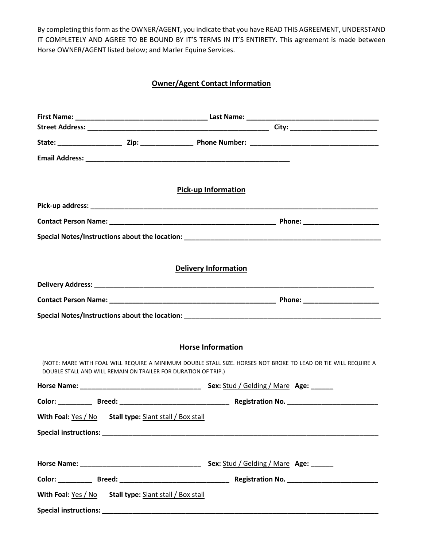By completing this form asthe OWNER/AGENT, you indicate that you have READ THIS AGREEMENT, UNDERSTAND IT COMPLETELY AND AGREE TO BE BOUND BY IT'S TERMS IN IT'S ENTIRETY. This agreement is made between Horse OWNER/AGENT listed below; and Marler Equine Services.

# **Owner/Agent Contact Information**

|                                                                                                                                                                                  | <b>Pick-up Information</b>            |  |
|----------------------------------------------------------------------------------------------------------------------------------------------------------------------------------|---------------------------------------|--|
|                                                                                                                                                                                  |                                       |  |
|                                                                                                                                                                                  |                                       |  |
|                                                                                                                                                                                  |                                       |  |
|                                                                                                                                                                                  |                                       |  |
| <b>Delivery Information</b>                                                                                                                                                      |                                       |  |
|                                                                                                                                                                                  |                                       |  |
|                                                                                                                                                                                  |                                       |  |
|                                                                                                                                                                                  |                                       |  |
|                                                                                                                                                                                  |                                       |  |
| <b>Horse Information</b>                                                                                                                                                         |                                       |  |
| (NOTE: MARE WITH FOAL WILL REQUIRE A MINIMUM DOUBLE STALL SIZE. HORSES NOT BROKE TO LEAD OR TIE WILL REQUIRE A<br>DOUBLE STALL AND WILL REMAIN ON TRAILER FOR DURATION OF TRIP.) |                                       |  |
|                                                                                                                                                                                  |                                       |  |
|                                                                                                                                                                                  |                                       |  |
| With Foal: Yes / No Stall type: Slant stall / Box stall                                                                                                                          |                                       |  |
|                                                                                                                                                                                  |                                       |  |
|                                                                                                                                                                                  |                                       |  |
|                                                                                                                                                                                  | Sex: Stud / Gelding / Mare Age: _____ |  |
|                                                                                                                                                                                  |                                       |  |
| With Foal: Yes / No Stall type: Slant stall / Box stall                                                                                                                          |                                       |  |
|                                                                                                                                                                                  |                                       |  |